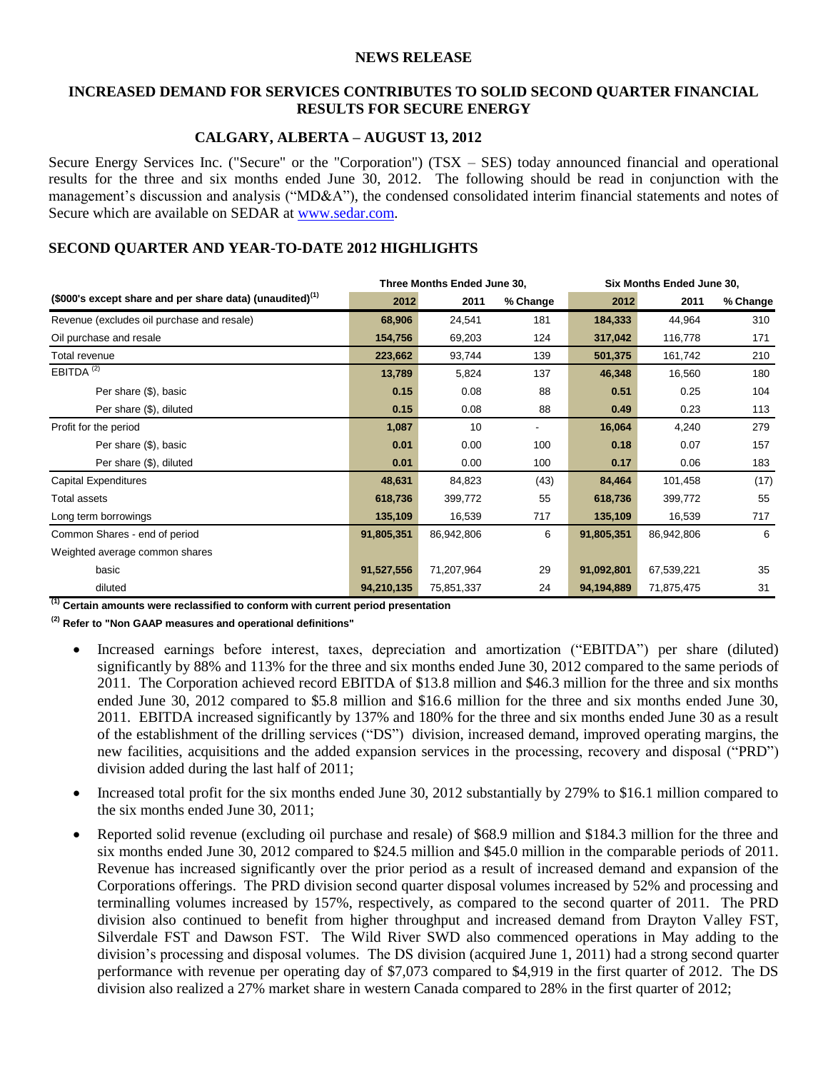#### **NEWS RELEASE**

#### **INCREASED DEMAND FOR SERVICES CONTRIBUTES TO SOLID SECOND QUARTER FINANCIAL RESULTS FOR SECURE ENERGY**

#### **CALGARY, ALBERTA – AUGUST 13, 2012**

Secure Energy Services Inc. ("Secure" or the "Corporation") (TSX – SES) today announced financial and operational results for the three and six months ended June 30, 2012. The following should be read in conjunction with the management's discussion and analysis ("MD&A"), the condensed consolidated interim financial statements and notes of Secure which are available on SEDAR at [www.sedar.com.](http://www.sedar.com/)

#### **SECOND QUARTER AND YEAR-TO-DATE 2012 HIGHLIGHTS**

|                                                             | Three Months Ended June 30, |            |          | Six Months Ended June 30, |            |          |
|-------------------------------------------------------------|-----------------------------|------------|----------|---------------------------|------------|----------|
| (\$000's except share and per share data) (unaudited) $(1)$ | 2012                        | 2011       | % Change | 2012                      | 2011       | % Change |
| Revenue (excludes oil purchase and resale)                  | 68,906                      | 24,541     | 181      | 184,333                   | 44,964     | 310      |
| Oil purchase and resale                                     | 154,756                     | 69,203     | 124      | 317,042                   | 116,778    | 171      |
| Total revenue                                               | 223,662                     | 93,744     | 139      | 501,375                   | 161,742    | 210      |
| EBITDA <sup>(2)</sup>                                       | 13,789                      | 5,824      | 137      | 46,348                    | 16,560     | 180      |
| Per share (\$), basic                                       | 0.15                        | 0.08       | 88       | 0.51                      | 0.25       | 104      |
| Per share (\$), diluted                                     | 0.15                        | 0.08       | 88       | 0.49                      | 0.23       | 113      |
| Profit for the period                                       | 1,087                       | 10         | ۰        | 16,064                    | 4,240      | 279      |
| Per share (\$), basic                                       | 0.01                        | 0.00       | 100      | 0.18                      | 0.07       | 157      |
| Per share (\$), diluted                                     | 0.01                        | 0.00       | 100      | 0.17                      | 0.06       | 183      |
| <b>Capital Expenditures</b>                                 | 48,631                      | 84,823     | (43)     | 84,464                    | 101,458    | (17)     |
| <b>Total assets</b>                                         | 618,736                     | 399,772    | 55       | 618,736                   | 399,772    | 55       |
| Long term borrowings                                        | 135,109                     | 16,539     | 717      | 135,109                   | 16,539     | 717      |
| Common Shares - end of period                               | 91,805,351                  | 86,942,806 | 6        | 91,805,351                | 86,942,806 | 6        |
| Weighted average common shares                              |                             |            |          |                           |            |          |
| basic                                                       | 91,527,556                  | 71,207,964 | 29       | 91,092,801                | 67,539,221 | 35       |
| diluted                                                     | 94,210,135                  | 75,851,337 | 24       | 94,194,889                | 71,875,475 | 31       |

**(1) Certain amounts were reclassified to conform with current period presentation**

**(2) Refer to "Non GAAP measures and operational definitions"** 

- Increased earnings before interest, taxes, depreciation and amortization ("EBITDA") per share (diluted) significantly by 88% and 113% for the three and six months ended June 30, 2012 compared to the same periods of 2011. The Corporation achieved record EBITDA of \$13.8 million and \$46.3 million for the three and six months ended June 30, 2012 compared to \$5.8 million and \$16.6 million for the three and six months ended June 30, 2011. EBITDA increased significantly by 137% and 180% for the three and six months ended June 30 as a result of the establishment of the drilling services ("DS") division, increased demand, improved operating margins, the new facilities, acquisitions and the added expansion services in the processing, recovery and disposal ("PRD") division added during the last half of 2011;
- Increased total profit for the six months ended June 30, 2012 substantially by 279% to \$16.1 million compared to the six months ended June 30, 2011;
- Reported solid revenue (excluding oil purchase and resale) of \$68.9 million and \$184.3 million for the three and six months ended June 30, 2012 compared to \$24.5 million and \$45.0 million in the comparable periods of 2011. Revenue has increased significantly over the prior period as a result of increased demand and expansion of the Corporations offerings. The PRD division second quarter disposal volumes increased by 52% and processing and terminalling volumes increased by 157%, respectively, as compared to the second quarter of 2011. The PRD division also continued to benefit from higher throughput and increased demand from Drayton Valley FST, Silverdale FST and Dawson FST. The Wild River SWD also commenced operations in May adding to the division's processing and disposal volumes. The DS division (acquired June 1, 2011) had a strong second quarter performance with revenue per operating day of \$7,073 compared to \$4,919 in the first quarter of 2012. The DS division also realized a 27% market share in western Canada compared to 28% in the first quarter of 2012;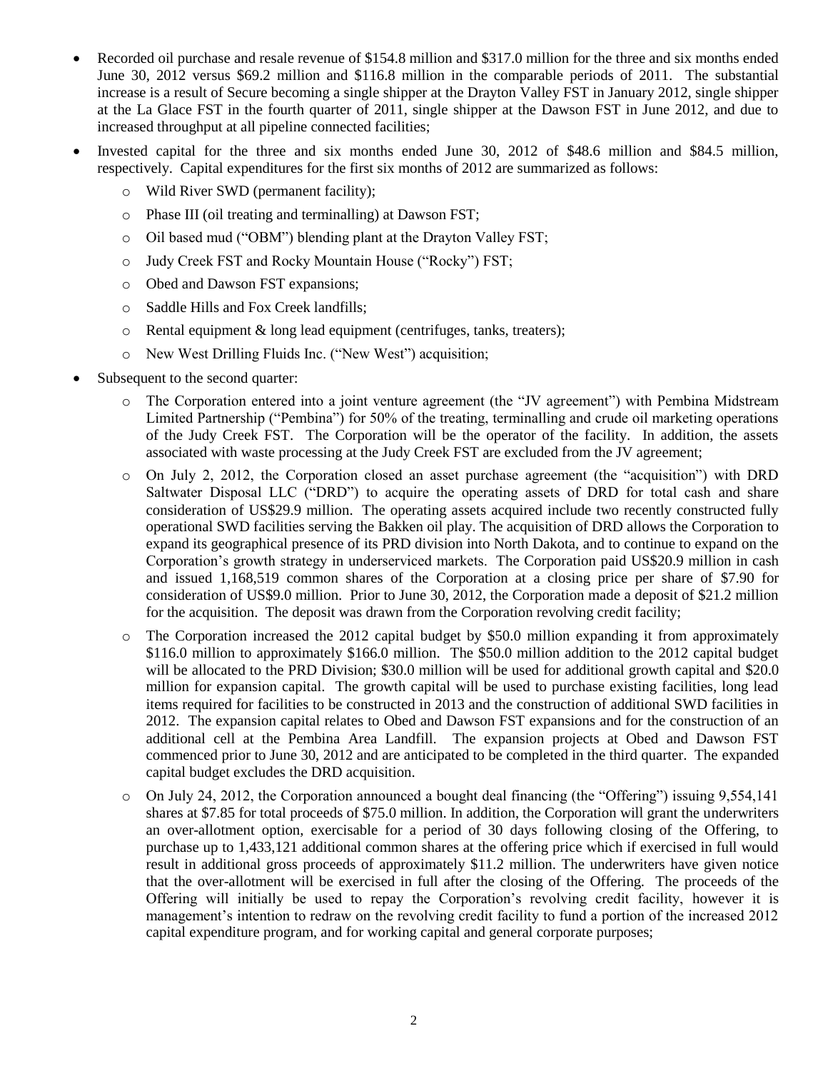- Recorded oil purchase and resale revenue of \$154.8 million and \$317.0 million for the three and six months ended June 30, 2012 versus \$69.2 million and \$116.8 million in the comparable periods of 2011. The substantial increase is a result of Secure becoming a single shipper at the Drayton Valley FST in January 2012, single shipper at the La Glace FST in the fourth quarter of 2011, single shipper at the Dawson FST in June 2012, and due to increased throughput at all pipeline connected facilities;
- Invested capital for the three and six months ended June 30, 2012 of \$48.6 million and \$84.5 million, respectively. Capital expenditures for the first six months of 2012 are summarized as follows:
	- o Wild River SWD (permanent facility);
	- o Phase III (oil treating and terminalling) at Dawson FST;
	- o Oil based mud ("OBM") blending plant at the Drayton Valley FST;
	- o Judy Creek FST and Rocky Mountain House ("Rocky") FST;
	- o Obed and Dawson FST expansions;
	- o Saddle Hills and Fox Creek landfills;
	- o Rental equipment & long lead equipment (centrifuges, tanks, treaters);
	- o New West Drilling Fluids Inc. ("New West") acquisition;
- Subsequent to the second quarter:
	- o The Corporation entered into a joint venture agreement (the "JV agreement") with Pembina Midstream Limited Partnership ("Pembina") for 50% of the treating, terminalling and crude oil marketing operations of the Judy Creek FST. The Corporation will be the operator of the facility. In addition, the assets associated with waste processing at the Judy Creek FST are excluded from the JV agreement;
	- o On July 2, 2012, the Corporation closed an asset purchase agreement (the "acquisition") with DRD Saltwater Disposal LLC ("DRD") to acquire the operating assets of DRD for total cash and share consideration of US\$29.9 million. The operating assets acquired include two recently constructed fully operational SWD facilities serving the Bakken oil play. The acquisition of DRD allows the Corporation to expand its geographical presence of its PRD division into North Dakota, and to continue to expand on the Corporation's growth strategy in underserviced markets. The Corporation paid US\$20.9 million in cash and issued 1,168,519 common shares of the Corporation at a closing price per share of \$7.90 for consideration of US\$9.0 million. Prior to June 30, 2012, the Corporation made a deposit of \$21.2 million for the acquisition. The deposit was drawn from the Corporation revolving credit facility;
	- o The Corporation increased the 2012 capital budget by \$50.0 million expanding it from approximately \$116.0 million to approximately \$166.0 million. The \$50.0 million addition to the 2012 capital budget will be allocated to the PRD Division; \$30.0 million will be used for additional growth capital and \$20.0 million for expansion capital. The growth capital will be used to purchase existing facilities, long lead items required for facilities to be constructed in 2013 and the construction of additional SWD facilities in 2012. The expansion capital relates to Obed and Dawson FST expansions and for the construction of an additional cell at the Pembina Area Landfill. The expansion projects at Obed and Dawson FST commenced prior to June 30, 2012 and are anticipated to be completed in the third quarter. The expanded capital budget excludes the DRD acquisition.
	- o On July 24, 2012, the Corporation announced a bought deal financing (the "Offering") issuing 9,554,141 shares at \$7.85 for total proceeds of \$75.0 million. In addition, the Corporation will grant the underwriters an over-allotment option, exercisable for a period of 30 days following closing of the Offering, to purchase up to 1,433,121 additional common shares at the offering price which if exercised in full would result in additional gross proceeds of approximately \$11.2 million. The underwriters have given notice that the over-allotment will be exercised in full after the closing of the Offering. The proceeds of the Offering will initially be used to repay the Corporation's revolving credit facility, however it is management's intention to redraw on the revolving credit facility to fund a portion of the increased 2012 capital expenditure program, and for working capital and general corporate purposes;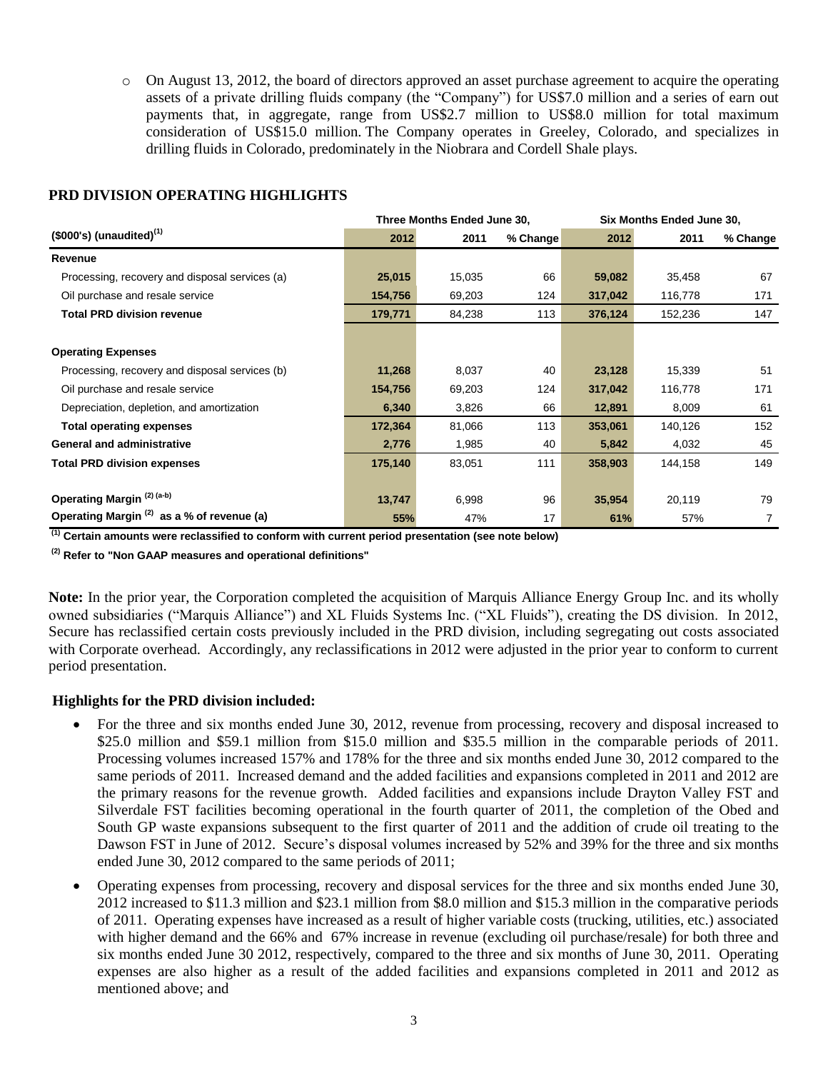o On August 13, 2012, the board of directors approved an asset purchase agreement to acquire the operating assets of a private drilling fluids company (the "Company") for US\$7.0 million and a series of earn out payments that, in aggregate, range from US\$2.7 million to US\$8.0 million for total maximum consideration of US\$15.0 million. The Company operates in Greeley, Colorado, and specializes in drilling fluids in Colorado, predominately in the Niobrara and Cordell Shale plays.

|                                                       | Three Months Ended June 30, |        |          | Six Months Ended June 30, |         |          |  |
|-------------------------------------------------------|-----------------------------|--------|----------|---------------------------|---------|----------|--|
| $($000's)$ (unaudited) <sup>(1)</sup>                 | 2012                        | 2011   | % Change | 2012                      | 2011    | % Change |  |
| Revenue                                               |                             |        |          |                           |         |          |  |
| Processing, recovery and disposal services (a)        | 25,015                      | 15,035 | 66       | 59,082                    | 35,458  | 67       |  |
| Oil purchase and resale service                       | 154,756                     | 69,203 | 124      | 317,042                   | 116,778 | 171      |  |
| <b>Total PRD division revenue</b>                     | 179,771                     | 84,238 | 113      | 376,124                   | 152,236 | 147      |  |
|                                                       |                             |        |          |                           |         |          |  |
| <b>Operating Expenses</b>                             |                             |        |          |                           |         |          |  |
| Processing, recovery and disposal services (b)        | 11,268                      | 8,037  | 40       | 23,128                    | 15,339  | 51       |  |
| Oil purchase and resale service                       | 154,756                     | 69,203 | 124      | 317,042                   | 116,778 | 171      |  |
| Depreciation, depletion, and amortization             | 6,340                       | 3,826  | 66       | 12,891                    | 8,009   | 61       |  |
| <b>Total operating expenses</b>                       | 172,364                     | 81,066 | 113      | 353,061                   | 140,126 | 152      |  |
| <b>General and administrative</b>                     | 2,776                       | 1,985  | 40       | 5,842                     | 4,032   | 45       |  |
| <b>Total PRD division expenses</b>                    | 175,140                     | 83,051 | 111      | 358,903                   | 144,158 | 149      |  |
|                                                       |                             |        |          |                           |         |          |  |
| Operating Margin <sup>(2)(a-b)</sup>                  | 13,747                      | 6,998  | 96       | 35,954                    | 20,119  | 79       |  |
| Operating Margin <sup>(2)</sup> as a % of revenue (a) | 55%                         | 47%    | 17       | 61%                       | 57%     | 7        |  |

## **PRD DIVISION OPERATING HIGHLIGHTS**

**(1) Certain amounts were reclassified to conform with current period presentation (see note below)**

**(2) Refer to "Non GAAP measures and operational definitions"**

**Note:** In the prior year, the Corporation completed the acquisition of Marquis Alliance Energy Group Inc. and its wholly owned subsidiaries ("Marquis Alliance") and XL Fluids Systems Inc. ("XL Fluids"), creating the DS division. In 2012, Secure has reclassified certain costs previously included in the PRD division, including segregating out costs associated with Corporate overhead. Accordingly, any reclassifications in 2012 were adjusted in the prior year to conform to current period presentation.

# **Highlights for the PRD division included:**

- For the three and six months ended June 30, 2012, revenue from processing, recovery and disposal increased to \$25.0 million and \$59.1 million from \$15.0 million and \$35.5 million in the comparable periods of 2011. Processing volumes increased 157% and 178% for the three and six months ended June 30, 2012 compared to the same periods of 2011. Increased demand and the added facilities and expansions completed in 2011 and 2012 are the primary reasons for the revenue growth. Added facilities and expansions include Drayton Valley FST and Silverdale FST facilities becoming operational in the fourth quarter of 2011, the completion of the Obed and South GP waste expansions subsequent to the first quarter of 2011 and the addition of crude oil treating to the Dawson FST in June of 2012. Secure's disposal volumes increased by 52% and 39% for the three and six months ended June 30, 2012 compared to the same periods of 2011;
- Operating expenses from processing, recovery and disposal services for the three and six months ended June 30, 2012 increased to \$11.3 million and \$23.1 million from \$8.0 million and \$15.3 million in the comparative periods of 2011. Operating expenses have increased as a result of higher variable costs (trucking, utilities, etc.) associated with higher demand and the 66% and 67% increase in revenue (excluding oil purchase/resale) for both three and six months ended June 30 2012, respectively, compared to the three and six months of June 30, 2011. Operating expenses are also higher as a result of the added facilities and expansions completed in 2011 and 2012 as mentioned above; and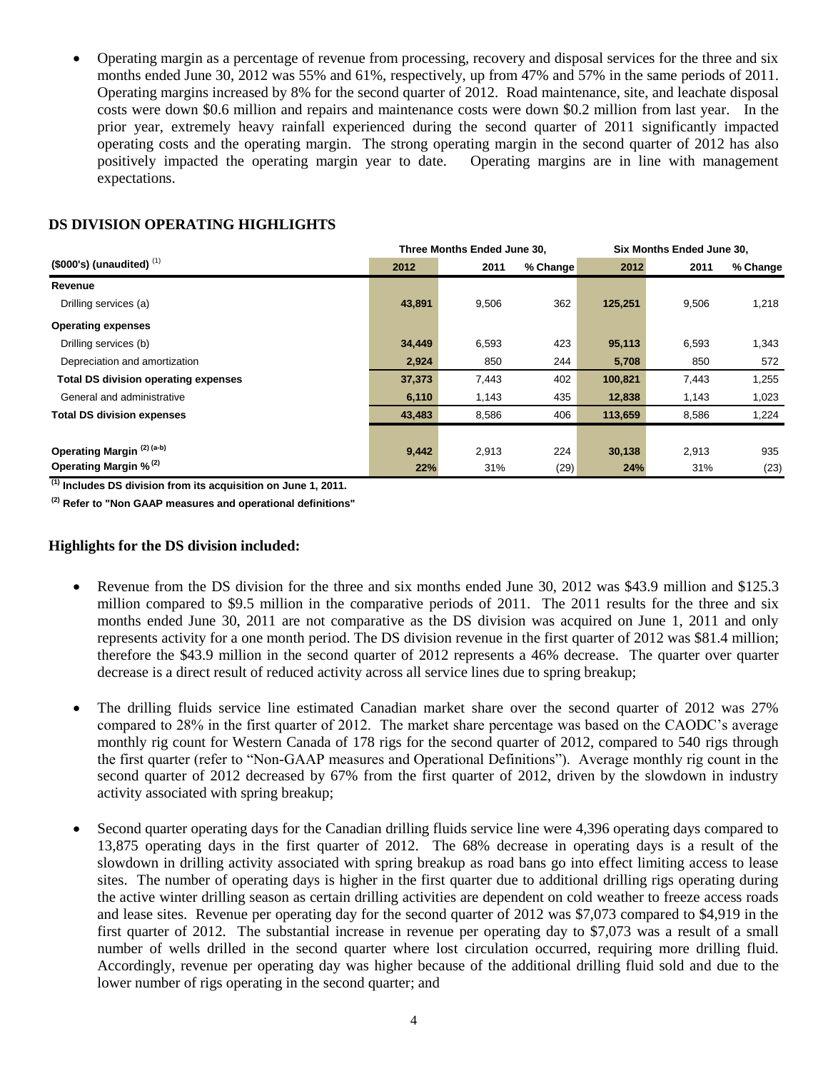Operating margin as a percentage of revenue from processing, recovery and disposal services for the three and six months ended June 30, 2012 was 55% and 61%, respectively, up from 47% and 57% in the same periods of 2011. Operating margins increased by 8% for the second quarter of 2012. Road maintenance, site, and leachate disposal costs were down \$0.6 million and repairs and maintenance costs were down \$0.2 million from last year. In the prior year, extremely heavy rainfall experienced during the second quarter of 2011 significantly impacted operating costs and the operating margin. The strong operating margin in the second quarter of 2012 has also positively impacted the operating margin year to date. Operating margins are in line with management expectations.

## **DS DIVISION OPERATING HIGHLIGHTS**

|                                             | Three Months Ended June 30, |       |          | Six Months Ended June 30, |       |          |
|---------------------------------------------|-----------------------------|-------|----------|---------------------------|-------|----------|
| $($ \$000's) (unaudited) $(1)$              | 2012                        | 2011  | % Change | 2012                      | 2011  | % Change |
| Revenue                                     |                             |       |          |                           |       |          |
| Drilling services (a)                       | 43,891                      | 9,506 | 362      | 125,251                   | 9,506 | 1,218    |
| <b>Operating expenses</b>                   |                             |       |          |                           |       |          |
| Drilling services (b)                       | 34,449                      | 6,593 | 423      | 95,113                    | 6,593 | 1,343    |
| Depreciation and amortization               | 2,924                       | 850   | 244      | 5,708                     | 850   | 572      |
| <b>Total DS division operating expenses</b> | 37,373                      | 7,443 | 402      | 100,821                   | 7,443 | 1,255    |
| General and administrative                  | 6,110                       | 1,143 | 435      | 12,838                    | 1,143 | 1,023    |
| <b>Total DS division expenses</b>           | 43,483                      | 8,586 | 406      | 113,659                   | 8,586 | 1,224    |
|                                             |                             |       |          |                           |       |          |
| Operating Margin <sup>(2)(a-b)</sup>        | 9,442                       | 2,913 | 224      | 30,138                    | 2,913 | 935      |
| Operating Margin % <sup>(2)</sup>           | 22%                         | 31%   | (29)     | 24%                       | 31%   | (23)     |

**(1) Includes DS division from its acquisition on June 1, 2011.**

**(2) Refer to "Non GAAP measures and operational definitions"**

#### **Highlights for the DS division included:**

- Revenue from the DS division for the three and six months ended June 30, 2012 was \$43.9 million and \$125.3 million compared to \$9.5 million in the comparative periods of 2011. The 2011 results for the three and six months ended June 30, 2011 are not comparative as the DS division was acquired on June 1, 2011 and only represents activity for a one month period. The DS division revenue in the first quarter of 2012 was \$81.4 million; therefore the \$43.9 million in the second quarter of 2012 represents a 46% decrease. The quarter over quarter decrease is a direct result of reduced activity across all service lines due to spring breakup;
- The drilling fluids service line estimated Canadian market share over the second quarter of 2012 was 27% compared to 28% in the first quarter of 2012. The market share percentage was based on the CAODC's average monthly rig count for Western Canada of 178 rigs for the second quarter of 2012, compared to 540 rigs through the first quarter (refer to "Non-GAAP measures and Operational Definitions"). Average monthly rig count in the second quarter of 2012 decreased by 67% from the first quarter of 2012, driven by the slowdown in industry activity associated with spring breakup;
- Second quarter operating days for the Canadian drilling fluids service line were 4,396 operating days compared to 13,875 operating days in the first quarter of 2012. The 68% decrease in operating days is a result of the slowdown in drilling activity associated with spring breakup as road bans go into effect limiting access to lease sites. The number of operating days is higher in the first quarter due to additional drilling rigs operating during the active winter drilling season as certain drilling activities are dependent on cold weather to freeze access roads and lease sites. Revenue per operating day for the second quarter of 2012 was \$7,073 compared to \$4,919 in the first quarter of 2012. The substantial increase in revenue per operating day to \$7,073 was a result of a small number of wells drilled in the second quarter where lost circulation occurred, requiring more drilling fluid. Accordingly, revenue per operating day was higher because of the additional drilling fluid sold and due to the lower number of rigs operating in the second quarter; and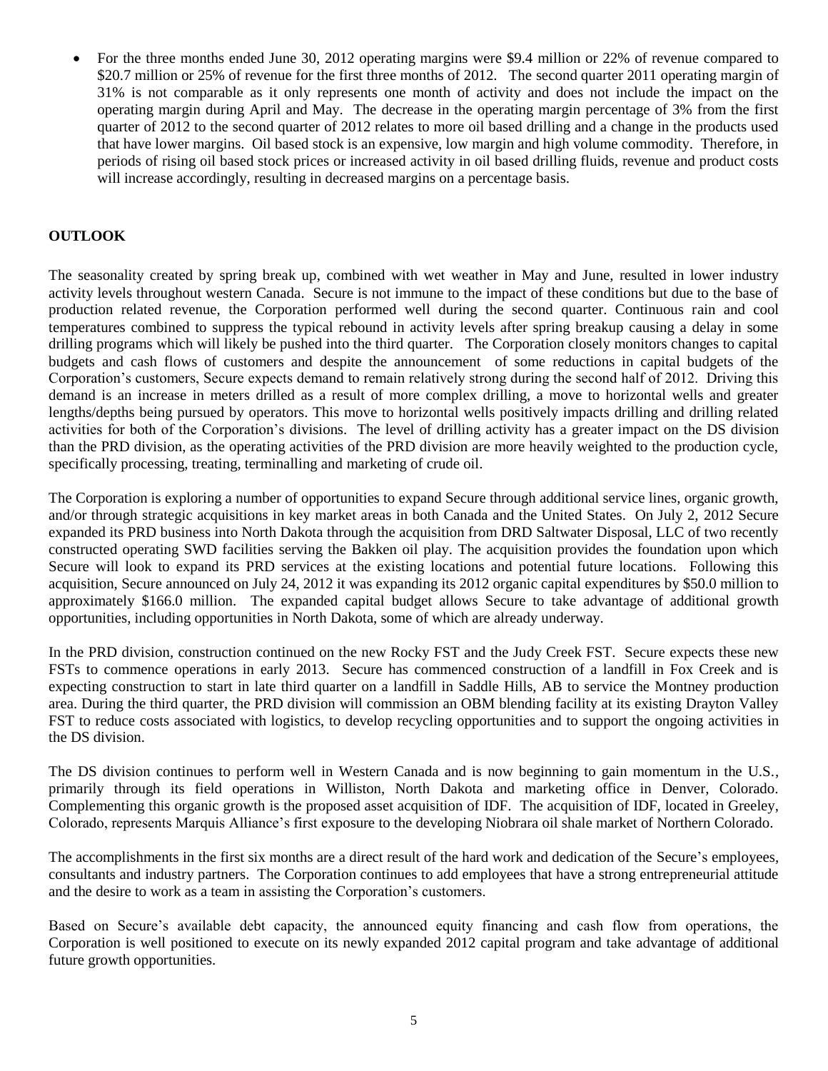For the three months ended June 30, 2012 operating margins were \$9.4 million or 22% of revenue compared to \$20.7 million or 25% of revenue for the first three months of 2012. The second quarter 2011 operating margin of 31% is not comparable as it only represents one month of activity and does not include the impact on the operating margin during April and May. The decrease in the operating margin percentage of 3% from the first quarter of 2012 to the second quarter of 2012 relates to more oil based drilling and a change in the products used that have lower margins. Oil based stock is an expensive, low margin and high volume commodity. Therefore, in periods of rising oil based stock prices or increased activity in oil based drilling fluids, revenue and product costs will increase accordingly, resulting in decreased margins on a percentage basis.

# **OUTLOOK**

The seasonality created by spring break up, combined with wet weather in May and June, resulted in lower industry activity levels throughout western Canada. Secure is not immune to the impact of these conditions but due to the base of production related revenue, the Corporation performed well during the second quarter. Continuous rain and cool temperatures combined to suppress the typical rebound in activity levels after spring breakup causing a delay in some drilling programs which will likely be pushed into the third quarter. The Corporation closely monitors changes to capital budgets and cash flows of customers and despite the announcement of some reductions in capital budgets of the Corporation's customers, Secure expects demand to remain relatively strong during the second half of 2012. Driving this demand is an increase in meters drilled as a result of more complex drilling, a move to horizontal wells and greater lengths/depths being pursued by operators. This move to horizontal wells positively impacts drilling and drilling related activities for both of the Corporation's divisions. The level of drilling activity has a greater impact on the DS division than the PRD division, as the operating activities of the PRD division are more heavily weighted to the production cycle, specifically processing, treating, terminalling and marketing of crude oil.

The Corporation is exploring a number of opportunities to expand Secure through additional service lines, organic growth, and/or through strategic acquisitions in key market areas in both Canada and the United States. On July 2, 2012 Secure expanded its PRD business into North Dakota through the acquisition from DRD Saltwater Disposal, LLC of two recently constructed operating SWD facilities serving the Bakken oil play. The acquisition provides the foundation upon which Secure will look to expand its PRD services at the existing locations and potential future locations. Following this acquisition, Secure announced on July 24, 2012 it was expanding its 2012 organic capital expenditures by \$50.0 million to approximately \$166.0 million. The expanded capital budget allows Secure to take advantage of additional growth opportunities, including opportunities in North Dakota, some of which are already underway.

In the PRD division, construction continued on the new Rocky FST and the Judy Creek FST. Secure expects these new FSTs to commence operations in early 2013. Secure has commenced construction of a landfill in Fox Creek and is expecting construction to start in late third quarter on a landfill in Saddle Hills, AB to service the Montney production area. During the third quarter, the PRD division will commission an OBM blending facility at its existing Drayton Valley FST to reduce costs associated with logistics, to develop recycling opportunities and to support the ongoing activities in the DS division.

The DS division continues to perform well in Western Canada and is now beginning to gain momentum in the U.S., primarily through its field operations in Williston, North Dakota and marketing office in Denver, Colorado. Complementing this organic growth is the proposed asset acquisition of IDF. The acquisition of IDF, located in Greeley, Colorado, represents Marquis Alliance's first exposure to the developing Niobrara oil shale market of Northern Colorado.

The accomplishments in the first six months are a direct result of the hard work and dedication of the Secure's employees, consultants and industry partners. The Corporation continues to add employees that have a strong entrepreneurial attitude and the desire to work as a team in assisting the Corporation's customers.

Based on Secure's available debt capacity, the announced equity financing and cash flow from operations, the Corporation is well positioned to execute on its newly expanded 2012 capital program and take advantage of additional future growth opportunities.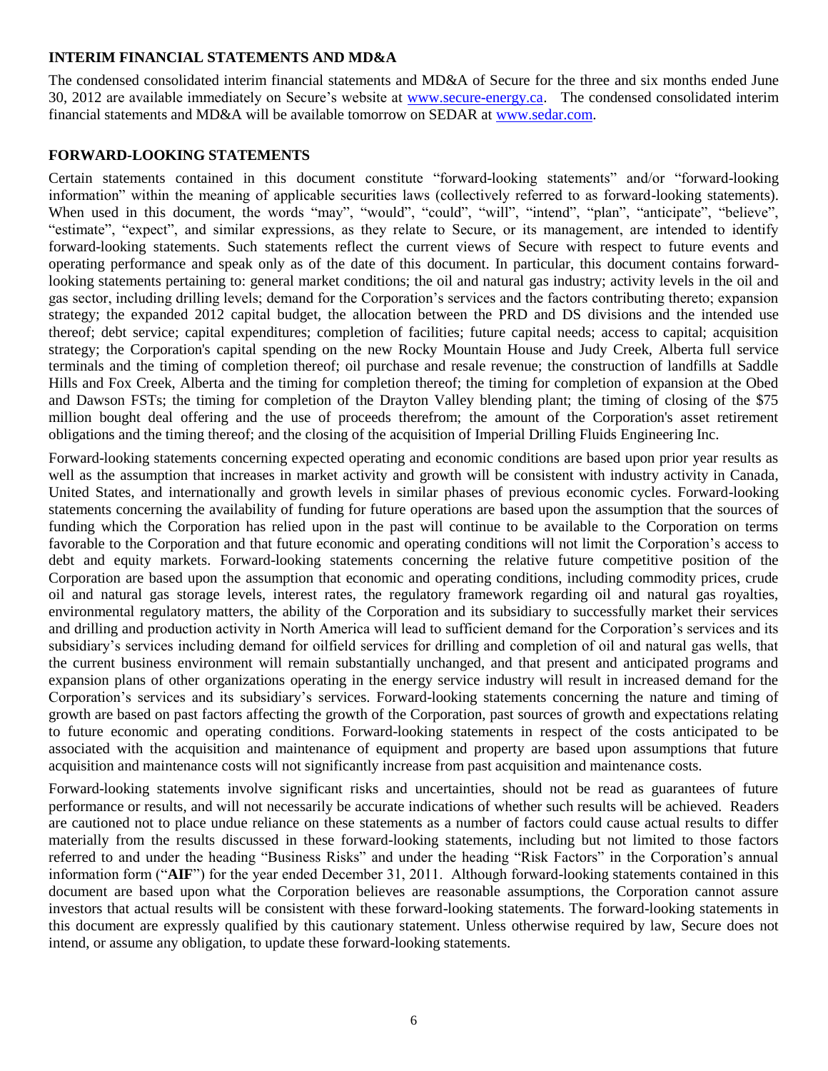#### **INTERIM FINANCIAL STATEMENTS AND MD&A**

The condensed consolidated interim financial statements and MD&A of Secure for the three and six months ended June 30, 2012 are available immediately on Secure's website at [www.secure-energy.ca.](http://www.secure-energy.ca/) The condensed consolidated interim financial statements and MD&A will be available tomorrow on SEDAR at [www.sedar.com.](http://www.sedar.com/)

### **FORWARD-LOOKING STATEMENTS**

Certain statements contained in this document constitute "forward-looking statements" and/or "forward-looking information" within the meaning of applicable securities laws (collectively referred to as forward-looking statements). When used in this document, the words "may", "would", "could", "will", "intend", "plan", "anticipate", "believe", "estimate", "expect", and similar expressions, as they relate to Secure, or its management, are intended to identify forward-looking statements. Such statements reflect the current views of Secure with respect to future events and operating performance and speak only as of the date of this document. In particular, this document contains forwardlooking statements pertaining to: general market conditions; the oil and natural gas industry; activity levels in the oil and gas sector, including drilling levels; demand for the Corporation's services and the factors contributing thereto; expansion strategy; the expanded 2012 capital budget, the allocation between the PRD and DS divisions and the intended use thereof; debt service; capital expenditures; completion of facilities; future capital needs; access to capital; acquisition strategy; the Corporation's capital spending on the new Rocky Mountain House and Judy Creek, Alberta full service terminals and the timing of completion thereof; oil purchase and resale revenue; the construction of landfills at Saddle Hills and Fox Creek, Alberta and the timing for completion thereof; the timing for completion of expansion at the Obed and Dawson FSTs; the timing for completion of the Drayton Valley blending plant; the timing of closing of the \$75 million bought deal offering and the use of proceeds therefrom; the amount of the Corporation's asset retirement obligations and the timing thereof; and the closing of the acquisition of Imperial Drilling Fluids Engineering Inc.

Forward-looking statements concerning expected operating and economic conditions are based upon prior year results as well as the assumption that increases in market activity and growth will be consistent with industry activity in Canada, United States, and internationally and growth levels in similar phases of previous economic cycles. Forward-looking statements concerning the availability of funding for future operations are based upon the assumption that the sources of funding which the Corporation has relied upon in the past will continue to be available to the Corporation on terms favorable to the Corporation and that future economic and operating conditions will not limit the Corporation's access to debt and equity markets. Forward-looking statements concerning the relative future competitive position of the Corporation are based upon the assumption that economic and operating conditions, including commodity prices, crude oil and natural gas storage levels, interest rates, the regulatory framework regarding oil and natural gas royalties, environmental regulatory matters, the ability of the Corporation and its subsidiary to successfully market their services and drilling and production activity in North America will lead to sufficient demand for the Corporation's services and its subsidiary's services including demand for oilfield services for drilling and completion of oil and natural gas wells, that the current business environment will remain substantially unchanged, and that present and anticipated programs and expansion plans of other organizations operating in the energy service industry will result in increased demand for the Corporation's services and its subsidiary's services. Forward-looking statements concerning the nature and timing of growth are based on past factors affecting the growth of the Corporation, past sources of growth and expectations relating to future economic and operating conditions. Forward-looking statements in respect of the costs anticipated to be associated with the acquisition and maintenance of equipment and property are based upon assumptions that future acquisition and maintenance costs will not significantly increase from past acquisition and maintenance costs.

Forward-looking statements involve significant risks and uncertainties, should not be read as guarantees of future performance or results, and will not necessarily be accurate indications of whether such results will be achieved. Readers are cautioned not to place undue reliance on these statements as a number of factors could cause actual results to differ materially from the results discussed in these forward-looking statements, including but not limited to those factors referred to and under the heading "Business Risks" and under the heading "Risk Factors" in the Corporation's annual information form ("**AIF**") for the year ended December 31, 2011. Although forward-looking statements contained in this document are based upon what the Corporation believes are reasonable assumptions, the Corporation cannot assure investors that actual results will be consistent with these forward-looking statements. The forward-looking statements in this document are expressly qualified by this cautionary statement. Unless otherwise required by law, Secure does not intend, or assume any obligation, to update these forward-looking statements.